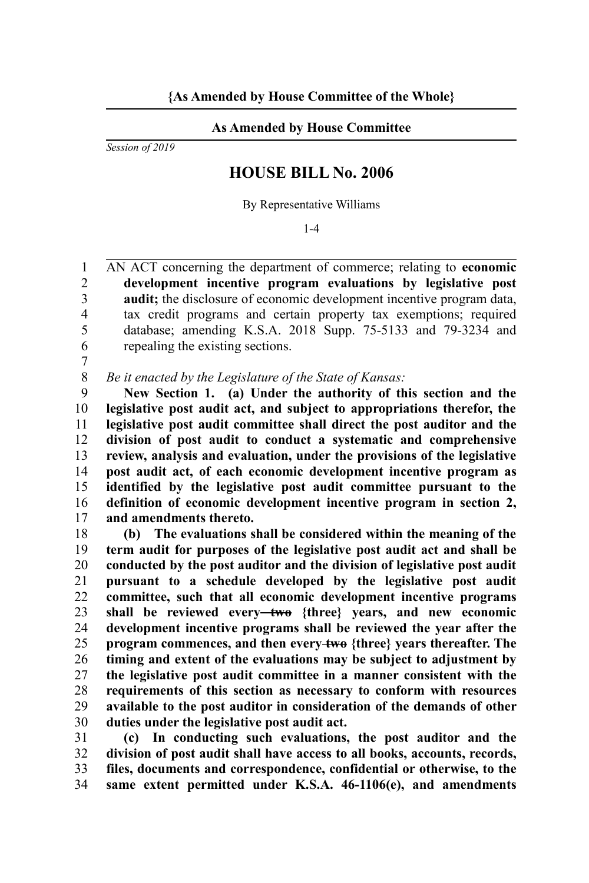## **As Amended by House Committee**

*Session of 2019*

## **HOUSE BILL No. 2006**

By Representative Williams

1-4

AN ACT concerning the department of commerce; relating to **economic development incentive program evaluations by legislative post audit;** the disclosure of economic development incentive program data, tax credit programs and certain property tax exemptions; required database; amending K.S.A. 2018 Supp. 75-5133 and 79-3234 and repealing the existing sections. 1  $\overline{2}$ 3 4 5 6

7

*Be it enacted by the Legislature of the State of Kansas:* 8

**New Section 1. (a) Under the authority of this section and the legislative post audit act, and subject to appropriations therefor, the legislative post audit committee shall direct the post auditor and the division of post audit to conduct a systematic and comprehensive review, analysis and evaluation, under the provisions of the legislative post audit act, of each economic development incentive program as identified by the legislative post audit committee pursuant to the definition of economic development incentive program in section 2, and amendments thereto.** 9 10 11 12 13 14 15 16 17

**(b) The evaluations shall be considered within the meaning of the term audit for purposes of the legislative post audit act and shall be conducted by the post auditor and the division of legislative post audit pursuant to a schedule developed by the legislative post audit committee, such that all economic development incentive programs shall be reviewed every two {three} years, and new economic development incentive programs shall be reviewed the year after the program commences, and then every two {three} years thereafter. The timing and extent of the evaluations may be subject to adjustment by the legislative post audit committee in a manner consistent with the requirements of this section as necessary to conform with resources available to the post auditor in consideration of the demands of other duties under the legislative post audit act.** 18 19 20 21 22 23 24 25 26 27 28 29 30

**(c) In conducting such evaluations, the post auditor and the division of post audit shall have access to all books, accounts, records, files, documents and correspondence, confidential or otherwise, to the same extent permitted under K.S.A. 46-1106(e), and amendments** 31 32 33 34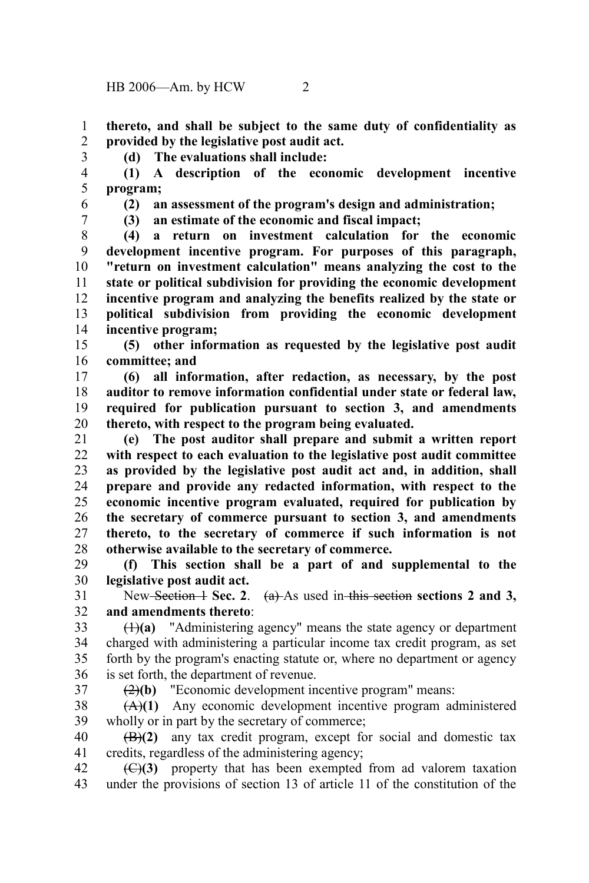**thereto, and shall be subject to the same duty of confidentiality as provided by the legislative post audit act.** 1 2

3

**(d) The evaluations shall include:**

**(1) A description of the economic development incentive program;** 4 5

6

**(2) an assessment of the program's design and administration;** 

7

**(3) an estimate of the economic and fiscal impact;** 

**(4) a return on investment calculation for the economic development incentive program. For purposes of this paragraph, "return on investment calculation" means analyzing the cost to the state or political subdivision for providing the economic development incentive program and analyzing the benefits realized by the state or political subdivision from providing the economic development incentive program;** 8 9 10 11 12 13 14

**(5) other information as requested by the legislative post audit committee; and** 15 16

**(6) all information, after redaction, as necessary, by the post auditor to remove information confidential under state or federal law, required for publication pursuant to section 3, and amendments thereto, with respect to the program being evaluated.**  17 18 19 20

**(e) The post auditor shall prepare and submit a written report with respect to each evaluation to the legislative post audit committee as provided by the legislative post audit act and, in addition, shall prepare and provide any redacted information, with respect to the economic incentive program evaluated, required for publication by the secretary of commerce pursuant to section 3, and amendments thereto, to the secretary of commerce if such information is not otherwise available to the secretary of commerce.** 21 22 23 24 25 26 27 28

**(f) This section shall be a part of and supplemental to the legislative post audit act.** 29 30

New Section 1 Sec. 2. (a) As used in this section sections 2 and 3, **and amendments thereto**: 31 32

(1)**(a)** "Administering agency" means the state agency or department charged with administering a particular income tax credit program, as set forth by the program's enacting statute or, where no department or agency is set forth, the department of revenue. 33 34 35 36

37

(2)**(b)** "Economic development incentive program" means:

(A)**(1)** Any economic development incentive program administered wholly or in part by the secretary of commerce; 38 39

(B)**(2)** any tax credit program, except for social and domestic tax credits, regardless of the administering agency; 40 41

(C)**(3)** property that has been exempted from ad valorem taxation under the provisions of section 13 of article 11 of the constitution of the 42 43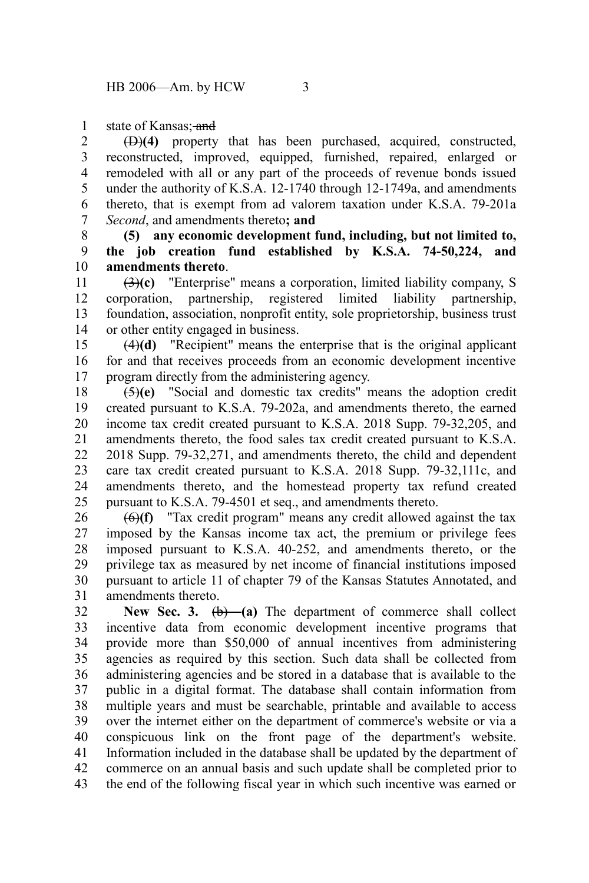state of Kansas; and 1

(D)**(4)** property that has been purchased, acquired, constructed, reconstructed, improved, equipped, furnished, repaired, enlarged or remodeled with all or any part of the proceeds of revenue bonds issued under the authority of K.S.A. 12-1740 through 12-1749a, and amendments thereto, that is exempt from ad valorem taxation under K.S.A. 79-201a *Second*, and amendments thereto**; and** 2 3 4 5 6 7

**(5) any economic development fund, including, but not limited to, the job creation fund established by K.S.A. 74-50,224, and amendments thereto**. 8 9 10

(3)**(c)** "Enterprise" means a corporation, limited liability company, S corporation, partnership, registered limited liability partnership, foundation, association, nonprofit entity, sole proprietorship, business trust or other entity engaged in business. 11 12 13 14

(4)**(d)** "Recipient" means the enterprise that is the original applicant for and that receives proceeds from an economic development incentive program directly from the administering agency. 15 16 17

(5)**(e)** "Social and domestic tax credits" means the adoption credit created pursuant to K.S.A. 79-202a, and amendments thereto, the earned income tax credit created pursuant to K.S.A. 2018 Supp. 79-32,205, and amendments thereto, the food sales tax credit created pursuant to K.S.A. 2018 Supp. 79-32,271, and amendments thereto, the child and dependent care tax credit created pursuant to K.S.A. 2018 Supp. 79-32,111c, and amendments thereto, and the homestead property tax refund created pursuant to K.S.A. 79-4501 et seq., and amendments thereto. 18 19 20 21 22 23 24 25

(6)**(f)** "Tax credit program" means any credit allowed against the tax imposed by the Kansas income tax act, the premium or privilege fees imposed pursuant to K.S.A. 40-252, and amendments thereto, or the privilege tax as measured by net income of financial institutions imposed pursuant to article 11 of chapter 79 of the Kansas Statutes Annotated, and amendments thereto. 26 27 28 29 30 31

New Sec. 3.  $(b)$  (a) The department of commerce shall collect incentive data from economic development incentive programs that provide more than \$50,000 of annual incentives from administering agencies as required by this section. Such data shall be collected from administering agencies and be stored in a database that is available to the public in a digital format. The database shall contain information from multiple years and must be searchable, printable and available to access over the internet either on the department of commerce's website or via a conspicuous link on the front page of the department's website. Information included in the database shall be updated by the department of commerce on an annual basis and such update shall be completed prior to the end of the following fiscal year in which such incentive was earned or 32 33 34 35 36 37 38 39 40 41 42 43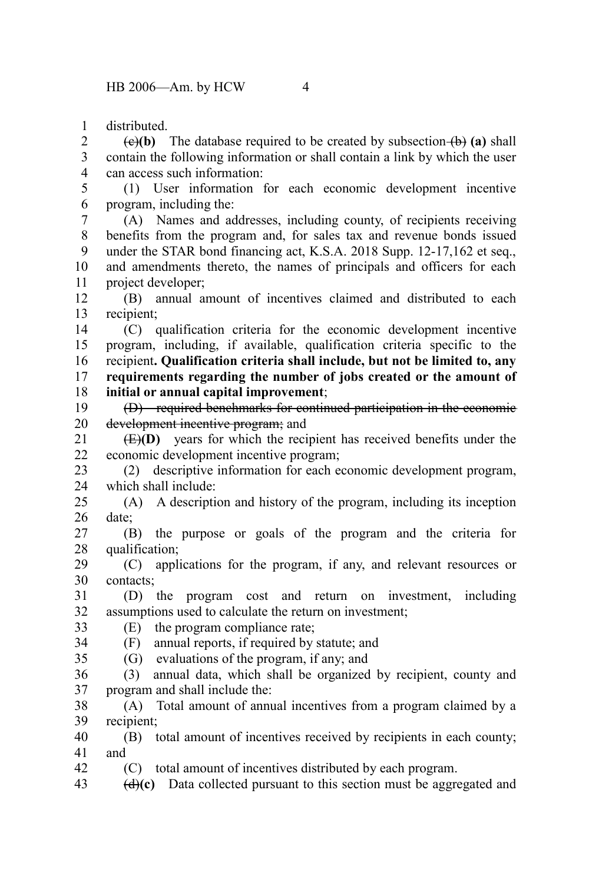distributed. 1

 $\overline{(e)}$  **(b)** The database required to be created by subsection  $\overline{(b)}$  (a) shall contain the following information or shall contain a link by which the user can access such information: 2 3 4

(1) User information for each economic development incentive program, including the: 5 6

(A) Names and addresses, including county, of recipients receiving benefits from the program and, for sales tax and revenue bonds issued under the STAR bond financing act, K.S.A. 2018 Supp. 12-17,162 et seq., and amendments thereto, the names of principals and officers for each project developer; 7 8 9 10 11

(B) annual amount of incentives claimed and distributed to each recipient; 12 13

(C) qualification criteria for the economic development incentive program, including, if available, qualification criteria specific to the recipient**. Qualification criteria shall include, but not be limited to, any requirements regarding the number of jobs created or the amount of initial or annual capital improvement**; 14 15 16 17 18

(D) required benchmarks for continued participation in the economic development incentive program; and 19 20

(E)**(D)** years for which the recipient has received benefits under the economic development incentive program; 21 22

(2) descriptive information for each economic development program, which shall include: 23 24

(A) A description and history of the program, including its inception date; 25 26

(B) the purpose or goals of the program and the criteria for qualification; 27 28

(C) applications for the program, if any, and relevant resources or contacts; 29 30

(D) the program cost and return on investment, including assumptions used to calculate the return on investment; 31 32

(E) the program compliance rate; 33

35

(F) annual reports, if required by statute; and 34

(G) evaluations of the program, if any; and

(3) annual data, which shall be organized by recipient, county and program and shall include the: 36 37

(A) Total amount of annual incentives from a program claimed by a recipient; 38 39

(B) total amount of incentives received by recipients in each county; and 40 41

(C) total amount of incentives distributed by each program. 42

(d)**(c)** Data collected pursuant to this section must be aggregated and 43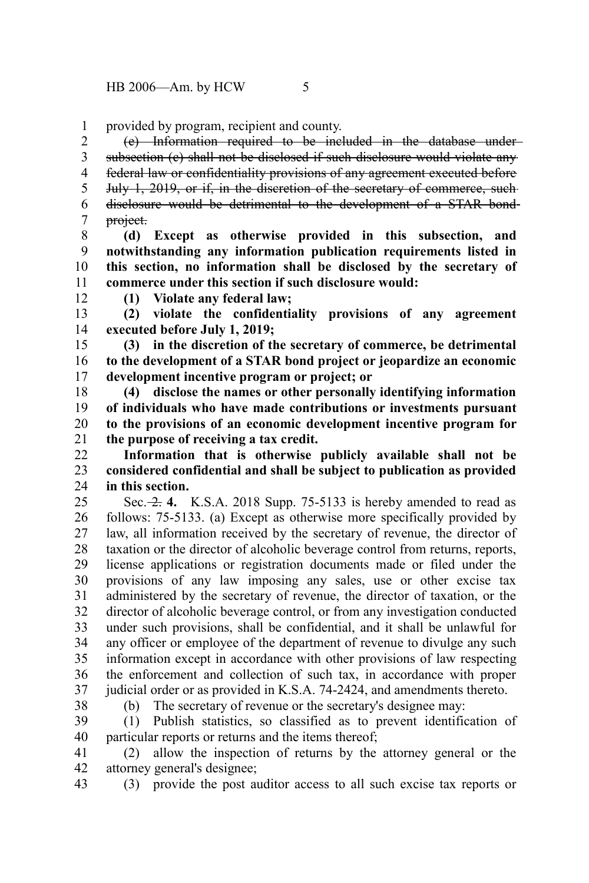provided by program, recipient and county. 1

(e) Information required to be included in the database under subsection (c) shall not be disclosed if such disclosure would violate any federal law or confidentiality provisions of any agreement executed before July 1, 2019, or if, in the discretion of the secretary of commerce, such disclosure would be detrimental to the development of a STAR bond project. 2 3 4 5 6 7

**(d) Except as otherwise provided in this subsection, and notwithstanding any information publication requirements listed in this section, no information shall be disclosed by the secretary of commerce under this section if such disclosure would:** 8 9 10 11

12

**(1) Violate any federal law;**

**(2) violate the confidentiality provisions of any agreement executed before July 1, 2019;** 13 14

**(3) in the discretion of the secretary of commerce, be detrimental to the development of a STAR bond project or jeopardize an economic development incentive program or project; or** 15 16 17

**(4) disclose the names or other personally identifying information of individuals who have made contributions or investments pursuant to the provisions of an economic development incentive program for the purpose of receiving a tax credit.** 18 19 20 21

**Information that is otherwise publicly available shall not be considered confidential and shall be subject to publication as provided in this section.**  $22$ 23 24

Sec. 2. **4.** K.S.A. 2018 Supp. 75-5133 is hereby amended to read as follows: 75-5133. (a) Except as otherwise more specifically provided by law, all information received by the secretary of revenue, the director of taxation or the director of alcoholic beverage control from returns, reports, license applications or registration documents made or filed under the provisions of any law imposing any sales, use or other excise tax administered by the secretary of revenue, the director of taxation, or the director of alcoholic beverage control, or from any investigation conducted under such provisions, shall be confidential, and it shall be unlawful for any officer or employee of the department of revenue to divulge any such information except in accordance with other provisions of law respecting the enforcement and collection of such tax, in accordance with proper judicial order or as provided in K.S.A. 74-2424, and amendments thereto. 25 26 27 28 29 30 31 32 33 34 35 36 37

38

(b) The secretary of revenue or the secretary's designee may:

(1) Publish statistics, so classified as to prevent identification of particular reports or returns and the items thereof; 39 40

(2) allow the inspection of returns by the attorney general or the attorney general's designee; 41 42

(3) provide the post auditor access to all such excise tax reports or 43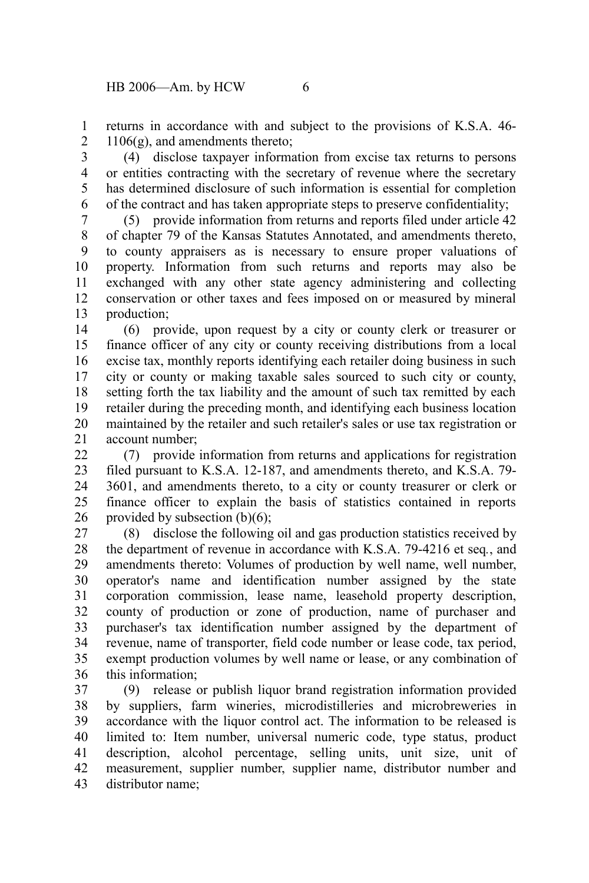returns in accordance with and subject to the provisions of K.S.A. 46- 1106(g), and amendments thereto; 1 2

(4) disclose taxpayer information from excise tax returns to persons or entities contracting with the secretary of revenue where the secretary has determined disclosure of such information is essential for completion of the contract and has taken appropriate steps to preserve confidentiality; 3 4 5 6

(5) provide information from returns and reports filed under article 42 of chapter 79 of the Kansas Statutes Annotated, and amendments thereto, to county appraisers as is necessary to ensure proper valuations of property. Information from such returns and reports may also be exchanged with any other state agency administering and collecting conservation or other taxes and fees imposed on or measured by mineral production; 7 8 9 10 11 12 13

(6) provide, upon request by a city or county clerk or treasurer or finance officer of any city or county receiving distributions from a local excise tax, monthly reports identifying each retailer doing business in such city or county or making taxable sales sourced to such city or county, setting forth the tax liability and the amount of such tax remitted by each retailer during the preceding month, and identifying each business location maintained by the retailer and such retailer's sales or use tax registration or account number; 14 15 16 17 18 19 20 21

(7) provide information from returns and applications for registration filed pursuant to K.S.A. 12-187, and amendments thereto, and K.S.A. 79- 3601, and amendments thereto, to a city or county treasurer or clerk or finance officer to explain the basis of statistics contained in reports provided by subsection (b)(6);  $22$ 23 24 25 26

(8) disclose the following oil and gas production statistics received by the department of revenue in accordance with K.S.A. 79-4216 et seq*.*, and amendments thereto: Volumes of production by well name, well number, operator's name and identification number assigned by the state corporation commission, lease name, leasehold property description, county of production or zone of production, name of purchaser and purchaser's tax identification number assigned by the department of revenue, name of transporter, field code number or lease code, tax period, exempt production volumes by well name or lease, or any combination of this information; 27 28 29 30 31 32 33 34 35 36

(9) release or publish liquor brand registration information provided by suppliers, farm wineries, microdistilleries and microbreweries in accordance with the liquor control act. The information to be released is limited to: Item number, universal numeric code, type status, product description, alcohol percentage, selling units, unit size, unit of measurement, supplier number, supplier name, distributor number and distributor name; 37 38 39 40 41 42 43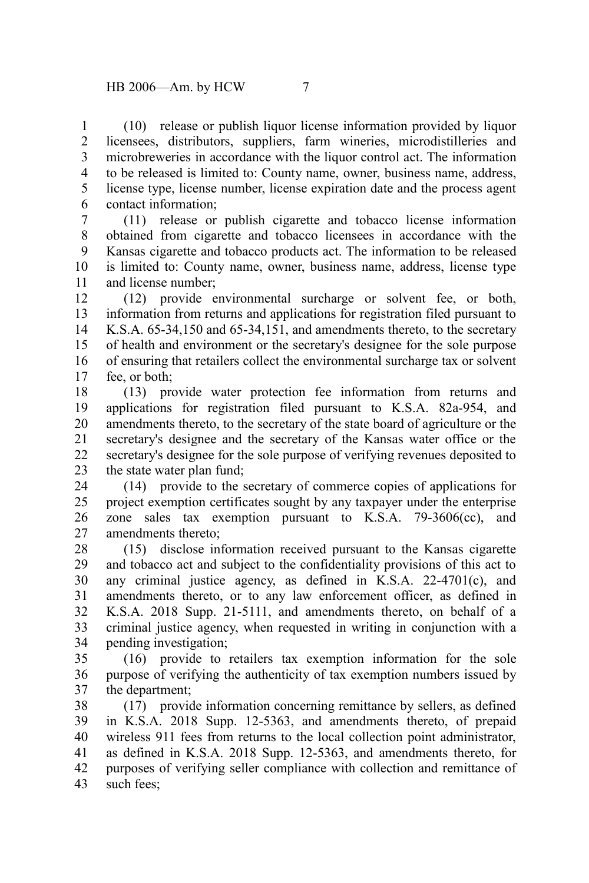(10) release or publish liquor license information provided by liquor licensees, distributors, suppliers, farm wineries, microdistilleries and microbreweries in accordance with the liquor control act. The information to be released is limited to: County name, owner, business name, address, license type, license number, license expiration date and the process agent contact information; 1 2 3 4 5 6

(11) release or publish cigarette and tobacco license information obtained from cigarette and tobacco licensees in accordance with the Kansas cigarette and tobacco products act. The information to be released is limited to: County name, owner, business name, address, license type and license number; 7 8 9 10 11

(12) provide environmental surcharge or solvent fee, or both, information from returns and applications for registration filed pursuant to K.S.A. 65-34,150 and 65-34,151, and amendments thereto, to the secretary of health and environment or the secretary's designee for the sole purpose of ensuring that retailers collect the environmental surcharge tax or solvent fee, or both; 12 13 14 15 16 17

(13) provide water protection fee information from returns and applications for registration filed pursuant to K.S.A. 82a-954, and amendments thereto, to the secretary of the state board of agriculture or the secretary's designee and the secretary of the Kansas water office or the secretary's designee for the sole purpose of verifying revenues deposited to the state water plan fund; 18 19 20 21 22 23

(14) provide to the secretary of commerce copies of applications for project exemption certificates sought by any taxpayer under the enterprise zone sales tax exemption pursuant to K.S.A. 79-3606(cc), and amendments thereto; 24 25 26 27

(15) disclose information received pursuant to the Kansas cigarette and tobacco act and subject to the confidentiality provisions of this act to any criminal justice agency, as defined in K.S.A. 22-4701(c), and amendments thereto, or to any law enforcement officer, as defined in K.S.A. 2018 Supp. 21-5111, and amendments thereto, on behalf of a criminal justice agency, when requested in writing in conjunction with a pending investigation; 28 29 30 31 32 33 34

(16) provide to retailers tax exemption information for the sole purpose of verifying the authenticity of tax exemption numbers issued by the department; 35 36 37

(17) provide information concerning remittance by sellers, as defined in K.S.A. 2018 Supp. 12-5363, and amendments thereto, of prepaid wireless 911 fees from returns to the local collection point administrator, as defined in K.S.A. 2018 Supp. 12-5363, and amendments thereto, for purposes of verifying seller compliance with collection and remittance of such fees; 38 39 40 41 42 43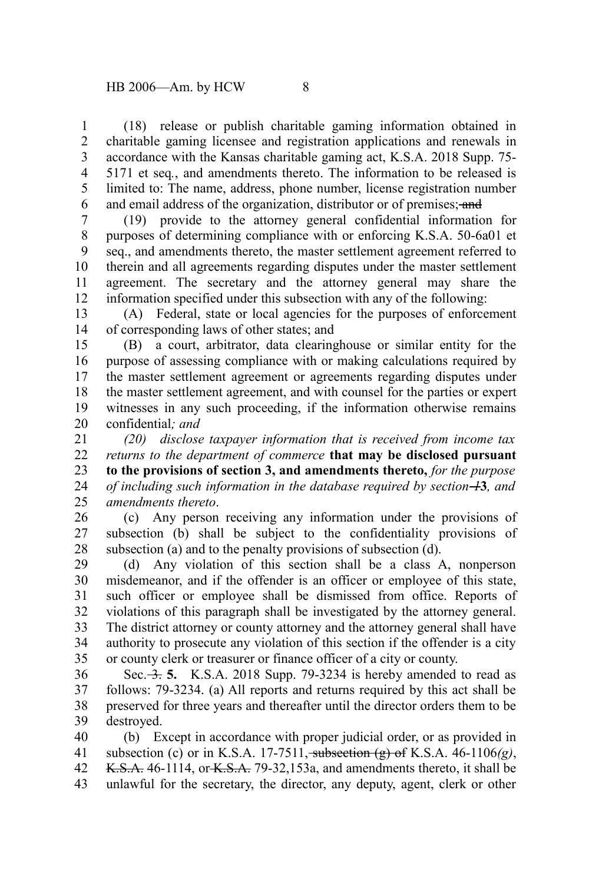(18) release or publish charitable gaming information obtained in charitable gaming licensee and registration applications and renewals in accordance with the Kansas charitable gaming act, K.S.A. 2018 Supp. 75- 5171 et seq*.*, and amendments thereto. The information to be released is limited to: The name, address, phone number, license registration number and email address of the organization, distributor or of premises; and 1 2 3 4 5 6

(19) provide to the attorney general confidential information for purposes of determining compliance with or enforcing K.S.A. 50-6a01 et seq., and amendments thereto, the master settlement agreement referred to therein and all agreements regarding disputes under the master settlement agreement. The secretary and the attorney general may share the information specified under this subsection with any of the following: 7 8 9 10 11 12

(A) Federal, state or local agencies for the purposes of enforcement of corresponding laws of other states; and 13 14

(B) a court, arbitrator, data clearinghouse or similar entity for the purpose of assessing compliance with or making calculations required by the master settlement agreement or agreements regarding disputes under the master settlement agreement, and with counsel for the parties or expert witnesses in any such proceeding, if the information otherwise remains confidential*; and* 15 16 17 18 19 20

*(20) disclose taxpayer information that is received from income tax returns to the department of commerce* **that may be disclosed pursuant to the provisions of section 3, and amendments thereto,** *for the purpose of including such information in the database required by section 1***3***, and amendments thereto*. 21 22 23 24 25

(c) Any person receiving any information under the provisions of subsection (b) shall be subject to the confidentiality provisions of subsection (a) and to the penalty provisions of subsection (d). 26 27 28

(d) Any violation of this section shall be a class A, nonperson misdemeanor, and if the offender is an officer or employee of this state, such officer or employee shall be dismissed from office. Reports of violations of this paragraph shall be investigated by the attorney general. The district attorney or county attorney and the attorney general shall have authority to prosecute any violation of this section if the offender is a city or county clerk or treasurer or finance officer of a city or county. 29 30 31 32 33 34 35

Sec. 3. **5.** K.S.A. 2018 Supp. 79-3234 is hereby amended to read as follows: 79-3234. (a) All reports and returns required by this act shall be preserved for three years and thereafter until the director orders them to be destroyed. 36 37 38 39

(b) Except in accordance with proper judicial order, or as provided in subsection (c) or in K.S.A. 17-7511, subsection (g) of K.S.A. 46-1106*(g)*, K.S.A. 46-1114, or K.S.A. 79-32,153a, and amendments thereto, it shall be unlawful for the secretary, the director, any deputy, agent, clerk or other 40 41 42 43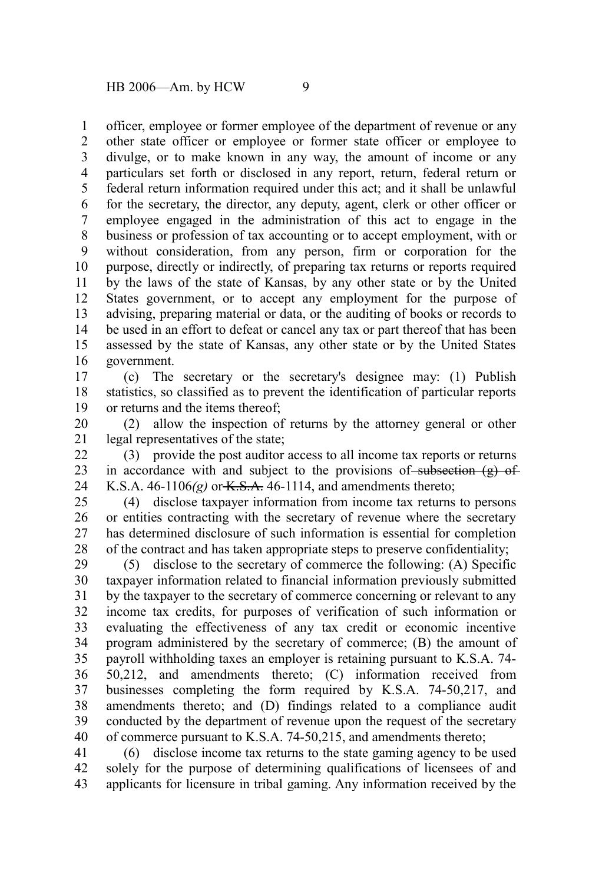officer, employee or former employee of the department of revenue or any other state officer or employee or former state officer or employee to divulge, or to make known in any way, the amount of income or any particulars set forth or disclosed in any report, return, federal return or federal return information required under this act; and it shall be unlawful for the secretary, the director, any deputy, agent, clerk or other officer or employee engaged in the administration of this act to engage in the business or profession of tax accounting or to accept employment, with or without consideration, from any person, firm or corporation for the purpose, directly or indirectly, of preparing tax returns or reports required by the laws of the state of Kansas, by any other state or by the United States government, or to accept any employment for the purpose of advising, preparing material or data, or the auditing of books or records to be used in an effort to defeat or cancel any tax or part thereof that has been assessed by the state of Kansas, any other state or by the United States government. 1 2 3 4 5 6 7 8 9 10 11 12 13 14 15 16

(c) The secretary or the secretary's designee may: (1) Publish statistics, so classified as to prevent the identification of particular reports or returns and the items thereof; 17 18 19

(2) allow the inspection of returns by the attorney general or other legal representatives of the state; 20 21

(3) provide the post auditor access to all income tax reports or returns in accordance with and subject to the provisions of subsection  $(g)$  of K.S.A.  $46-1106(g)$  or  $K.S.A. 46-1114$ , and amendments thereto; 22 23 24

(4) disclose taxpayer information from income tax returns to persons or entities contracting with the secretary of revenue where the secretary has determined disclosure of such information is essential for completion of the contract and has taken appropriate steps to preserve confidentiality; 25 26 27 28

(5) disclose to the secretary of commerce the following: (A) Specific taxpayer information related to financial information previously submitted by the taxpayer to the secretary of commerce concerning or relevant to any income tax credits, for purposes of verification of such information or evaluating the effectiveness of any tax credit or economic incentive program administered by the secretary of commerce; (B) the amount of payroll withholding taxes an employer is retaining pursuant to K.S.A. 74- 50,212, and amendments thereto; (C) information received from businesses completing the form required by K.S.A. 74-50,217, and amendments thereto; and (D) findings related to a compliance audit conducted by the department of revenue upon the request of the secretary of commerce pursuant to K.S.A. 74-50,215, and amendments thereto; 29 30 31 32 33 34 35 36 37 38 39 40

(6) disclose income tax returns to the state gaming agency to be used solely for the purpose of determining qualifications of licensees of and applicants for licensure in tribal gaming. Any information received by the 41 42 43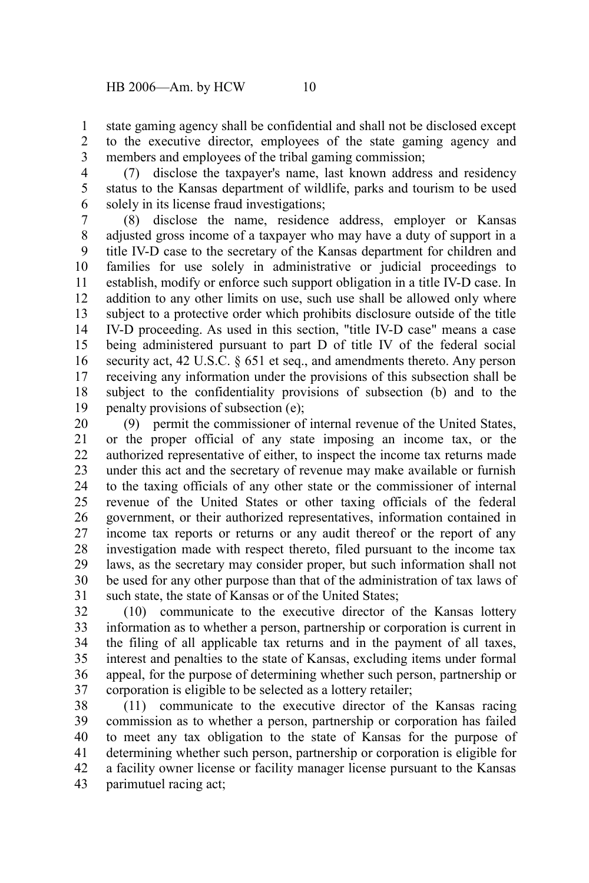state gaming agency shall be confidential and shall not be disclosed except to the executive director, employees of the state gaming agency and members and employees of the tribal gaming commission; 1 2 3

(7) disclose the taxpayer's name, last known address and residency status to the Kansas department of wildlife, parks and tourism to be used solely in its license fraud investigations; 4 5 6

(8) disclose the name, residence address, employer or Kansas adjusted gross income of a taxpayer who may have a duty of support in a title IV-D case to the secretary of the Kansas department for children and families for use solely in administrative or judicial proceedings to establish, modify or enforce such support obligation in a title IV-D case. In addition to any other limits on use, such use shall be allowed only where subject to a protective order which prohibits disclosure outside of the title IV-D proceeding. As used in this section, "title IV-D case" means a case being administered pursuant to part D of title IV of the federal social security act, 42 U.S.C. § 651 et seq., and amendments thereto. Any person receiving any information under the provisions of this subsection shall be subject to the confidentiality provisions of subsection (b) and to the penalty provisions of subsection (e); 7 8 9 10 11 12 13 14 15 16 17 18 19

(9) permit the commissioner of internal revenue of the United States, or the proper official of any state imposing an income tax, or the authorized representative of either, to inspect the income tax returns made under this act and the secretary of revenue may make available or furnish to the taxing officials of any other state or the commissioner of internal revenue of the United States or other taxing officials of the federal government, or their authorized representatives, information contained in income tax reports or returns or any audit thereof or the report of any investigation made with respect thereto, filed pursuant to the income tax laws, as the secretary may consider proper, but such information shall not be used for any other purpose than that of the administration of tax laws of such state, the state of Kansas or of the United States; 20 21 22 23 24 25 26 27 28 29 30 31

(10) communicate to the executive director of the Kansas lottery information as to whether a person, partnership or corporation is current in the filing of all applicable tax returns and in the payment of all taxes, interest and penalties to the state of Kansas, excluding items under formal appeal, for the purpose of determining whether such person, partnership or corporation is eligible to be selected as a lottery retailer; 32 33 34 35 36 37

(11) communicate to the executive director of the Kansas racing commission as to whether a person, partnership or corporation has failed to meet any tax obligation to the state of Kansas for the purpose of determining whether such person, partnership or corporation is eligible for a facility owner license or facility manager license pursuant to the Kansas parimutuel racing act; 38 39 40 41 42 43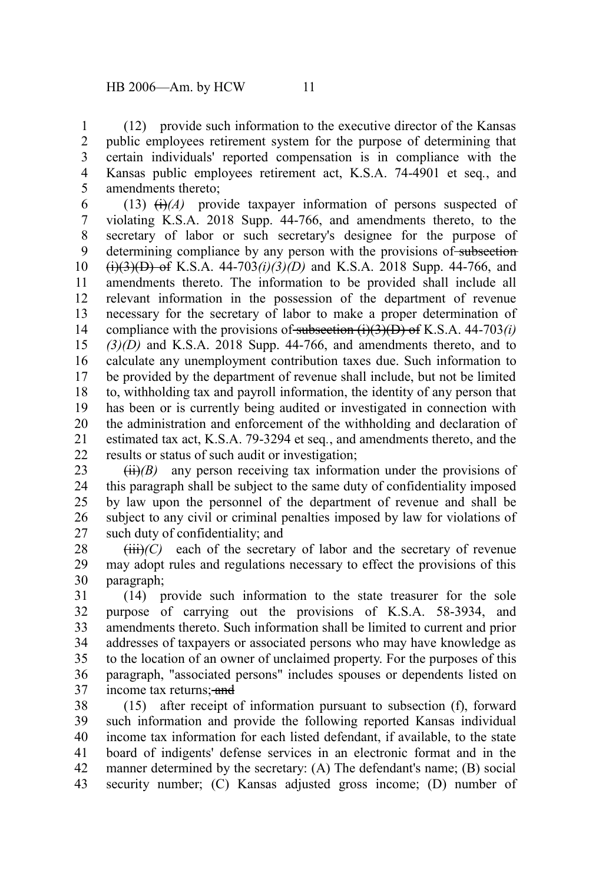(12) provide such information to the executive director of the Kansas public employees retirement system for the purpose of determining that certain individuals' reported compensation is in compliance with the Kansas public employees retirement act, K.S.A. 74-4901 et seq*.*, and amendments thereto; 1 2 3 4 5

(13)  $\leftrightarrow$  (i)<sup>(A)</sup> provide taxpayer information of persons suspected of violating K.S.A. 2018 Supp. 44-766, and amendments thereto, to the secretary of labor or such secretary's designee for the purpose of determining compliance by any person with the provisions of subsection  $(i)(3)(D)$  of K.S.A. 44-703 $(i)(3)(D)$  and K.S.A. 2018 Supp. 44-766, and amendments thereto. The information to be provided shall include all relevant information in the possession of the department of revenue necessary for the secretary of labor to make a proper determination of compliance with the provisions of subsection  $(i)(3)(D)$  of K.S.A. 44-703*(i) (3)(D)* and K.S.A. 2018 Supp. 44-766, and amendments thereto, and to calculate any unemployment contribution taxes due. Such information to be provided by the department of revenue shall include, but not be limited to, withholding tax and payroll information, the identity of any person that has been or is currently being audited or investigated in connection with the administration and enforcement of the withholding and declaration of estimated tax act, K.S.A. 79-3294 et seq*.*, and amendments thereto, and the results or status of such audit or investigation; 6 7 8 9 10 11 12 13 14 15 16 17 18 19 20 21 22

 $(ii)(B)$  any person receiving tax information under the provisions of this paragraph shall be subject to the same duty of confidentiality imposed by law upon the personnel of the department of revenue and shall be subject to any civil or criminal penalties imposed by law for violations of such duty of confidentiality; and 23 24 25 26 27

 $(iii)$ <sup>(C)</sup> each of the secretary of labor and the secretary of revenue may adopt rules and regulations necessary to effect the provisions of this paragraph; 28 29 30

(14) provide such information to the state treasurer for the sole purpose of carrying out the provisions of K.S.A. 58-3934, and amendments thereto. Such information shall be limited to current and prior addresses of taxpayers or associated persons who may have knowledge as to the location of an owner of unclaimed property. For the purposes of this paragraph, "associated persons" includes spouses or dependents listed on income tax returns: and 31 32 33 34 35 36 37

(15) after receipt of information pursuant to subsection (f), forward such information and provide the following reported Kansas individual income tax information for each listed defendant, if available, to the state board of indigents' defense services in an electronic format and in the manner determined by the secretary: (A) The defendant's name; (B) social security number; (C) Kansas adjusted gross income; (D) number of 38 39 40 41 42 43